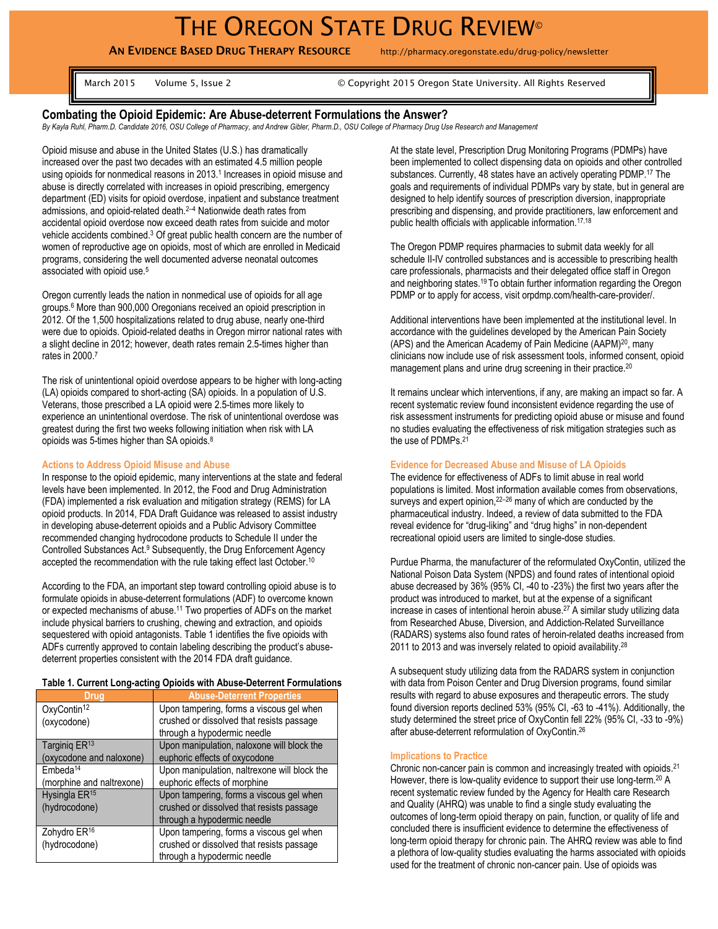**AN EVIDENCE BASED DRUG THERAPY RESOURCE** http://pharmacy.oregonstate.edu/drug-policy/newsletter

March 2015 Volume 5, Issue 2 © Copyright 2015 Oregon State University. All Rights Reserved

# **Combating the Opioid Epidemic: Are Abuse-deterrent Formulations the Answer?**

*By Kayla Ruhl, Pharm.D. Candidate 2016, OSU College of Pharmacy, and Andrew Gibler, Pharm.D., OSU College of Pharmacy Drug Use Research and Management*

Opioid misuse and abuse in the United States (U.S.) has dramatically increased over the past two decades with an estimated 4.5 million people using opioids for nonmedical reasons in 2013.<sup>1</sup> Increases in opioid misuse and abuse is directly correlated with increases in opioid prescribing, emergency department (ED) visits for opioid overdose, inpatient and substance treatment admissions, and opioid-related death.<sup>2</sup>–<sup>4</sup> Nationwide death rates from accidental opioid overdose now exceed death rates from suicide and motor vehicle accidents combined.<sup>3</sup> Of great public health concern are the number of women of reproductive age on opioids, most of which are enrolled in Medicaid programs, considering the well documented adverse neonatal outcomes associated with opioid use.<sup>5</sup>

Oregon currently leads the nation in nonmedical use of opioids for all age groups.<sup>6</sup> More than 900,000 Oregonians received an opioid prescription in 2012. Of the 1,500 hospitalizations related to drug abuse, nearly one-third were due to opioids. Opioid-related deaths in Oregon mirror national rates with a slight decline in 2012; however, death rates remain 2.5-times higher than rates in 2000.<sup>7</sup>

The risk of unintentional opioid overdose appears to be higher with long-acting (LA) opioids compared to short-acting (SA) opioids. In a population of U.S. Veterans, those prescribed a LA opioid were 2.5-times more likely to experience an unintentional overdose. The risk of unintentional overdose was greatest during the first two weeks following initiation when risk with LA opioids was 5-times higher than SA opioids.<sup>8</sup>

### **Actions to Address Opioid Misuse and Abuse**

In response to the opioid epidemic, many interventions at the state and federal levels have been implemented. In 2012, the Food and Drug Administration (FDA) implemented a risk evaluation and mitigation strategy (REMS) for LA opioid products. In 2014, FDA Draft Guidance was released to assist industry in developing abuse-deterrent opioids and a Public Advisory Committee recommended changing hydrocodone products to Schedule II under the Controlled Substances Act.<sup>9</sup> Subsequently, the Drug Enforcement Agency accepted the recommendation with the rule taking effect last October. 10

According to the FDA, an important step toward controlling opioid abuse is to formulate opioids in abuse-deterrent formulations (ADF) to overcome known or expected mechanisms of abuse. <sup>11</sup> Two properties of ADFs on the market include physical barriers to crushing, chewing and extraction, and opioids sequestered with opioid antagonists. Table 1 identifies the five opioids with ADFs currently approved to contain labeling describing the product's abusedeterrent properties consistent with the 2014 FDA draft guidance.

## **Table 1. Current Long-acting Opioids with Abuse-Deterrent Formulations**

| Drug                      | <b>Abuse-Deterrent Properties</b>            |
|---------------------------|----------------------------------------------|
| OxyContin <sup>12</sup>   | Upon tampering, forms a viscous gel when     |
| (oxycodone)               | crushed or dissolved that resists passage    |
|                           | through a hypodermic needle                  |
| Targinig ER <sup>13</sup> | Upon manipulation, naloxone will block the   |
| (oxycodone and naloxone)  | euphoric effects of oxycodone                |
| Embeda <sup>14</sup>      | Upon manipulation, naltrexone will block the |
| (morphine and naltrexone) | euphoric effects of morphine                 |
| Hysingla ER <sup>15</sup> | Upon tampering, forms a viscous gel when     |
| (hydrocodone)             | crushed or dissolved that resists passage    |
|                           | through a hypodermic needle                  |
| Zohydro ER <sup>16</sup>  | Upon tampering, forms a viscous gel when     |
| (hydrocodone)             | crushed or dissolved that resists passage    |
|                           | through a hypodermic needle                  |

At the state level, Prescription Drug Monitoring Programs (PDMPs) have been implemented to collect dispensing data on opioids and other controlled substances. Currently, 48 states have an actively operating PDMP.<sup>17</sup> The goals and requirements of individual PDMPs vary by state, but in general are designed to help identify sources of prescription diversion, inappropriate prescribing and dispensing, and provide practitioners, law enforcement and public health officials with applicable information.17,18

The Oregon PDMP requires pharmacies to submit data weekly for all schedule II-IV controlled substances and is accessible to prescribing health care professionals, pharmacists and their delegated office staff in Oregon and neighboring states.<sup>19</sup> To obtain further information regarding the Oregon PDMP or to apply for access, visit orpdmp.com/health-care-provider/.

Additional interventions have been implemented at the institutional level. In accordance with the guidelines developed by the American Pain Society (APS) and the American Academy of Pain Medicine (AAPM)<sup>20</sup>, many clinicians now include use of risk assessment tools, informed consent, opioid management plans and urine drug screening in their practice.<sup>20</sup>

It remains unclear which interventions, if any, are making an impact so far. A recent systematic review found inconsistent evidence regarding the use of risk assessment instruments for predicting opioid abuse or misuse and found no studies evaluating the effectiveness of risk mitigation strategies such as the use of PDMPs.<sup>21</sup>

#### **Evidence for Decreased Abuse and Misuse of LA Opioids**

The evidence for effectiveness of ADFs to limit abuse in real world populations is limited. Most information available comes from observations, surveys and expert opinion, 22-26 many of which are conducted by the pharmaceutical industry. Indeed, a review of data submitted to the FDA reveal evidence for "drug-liking" and "drug highs" in non-dependent recreational opioid users are limited to single-dose studies.

Purdue Pharma, the manufacturer of the reformulated OxyContin, utilized the National Poison Data System (NPDS) and found rates of intentional opioid abuse decreased by 36% (95% CI, -40 to -23%) the first two years after the product was introduced to market, but at the expense of a significant increase in cases of intentional heroin abuse. <sup>27</sup> A similar study utilizing data from Researched Abuse, Diversion, and Addiction-Related Surveillance (RADARS) systems also found rates of heroin-related deaths increased from 2011 to 2013 and was inversely related to opioid availability.<sup>28</sup>

A subsequent study utilizing data from the RADARS system in conjunction with data from Poison Center and Drug Diversion programs, found similar results with regard to abuse exposures and therapeutic errors. The study found diversion reports declined 53% (95% CI, -63 to -41%). Additionally, the study determined the street price of OxyContin fell 22% (95% CI, -33 to -9%) after abuse-deterrent reformulation of OxyContin.<sup>26</sup>

## **Implications to Practice**

Chronic non-cancer pain is common and increasingly treated with opioids.<sup>21</sup> However, there is low-quality evidence to support their use long-term.<sup>20</sup> A recent systematic review funded by the Agency for Health care Research and Quality (AHRQ) was unable to find a single study evaluating the outcomes of long-term opioid therapy on pain, function, or quality of life and concluded there is insufficient evidence to determine the effectiveness of long-term opioid therapy for chronic pain. The AHRQ review was able to find a plethora of low-quality studies evaluating the harms associated with opioids used for the treatment of chronic non-cancer pain. Use of opioids was